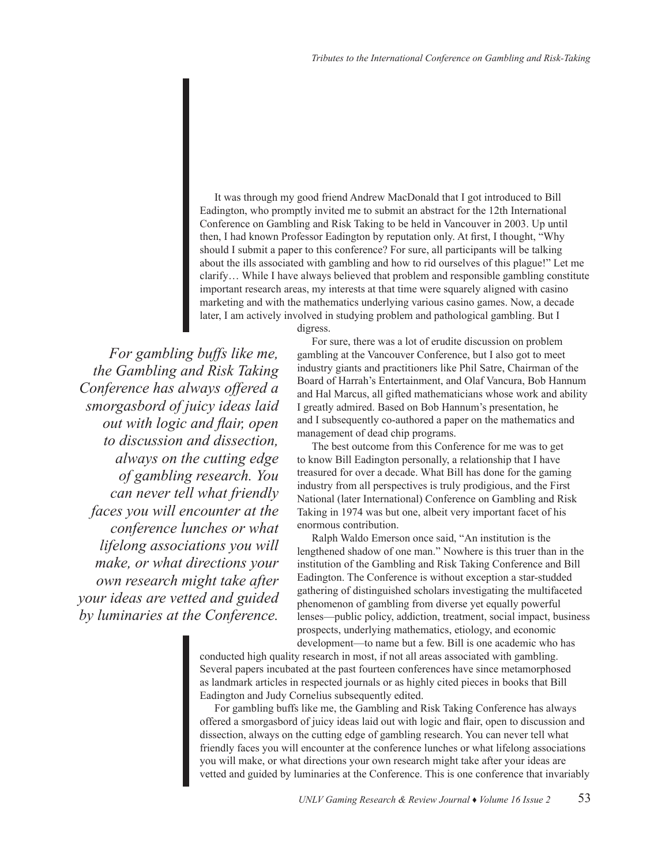It was through my good friend Andrew MacDonald that I got introduced to Bill Eadington, who promptly invited me to submit an abstract for the 12th International Conference on Gambling and Risk Taking to be held in Vancouver in 2003. Up until then, I had known Professor Eadington by reputation only. At first, I thought, "Why should I submit a paper to this conference? For sure, all participants will be talking about the ills associated with gambling and how to rid ourselves of this plague!" Let me clarify… While I have always believed that problem and responsible gambling constitute important research areas, my interests at that time were squarely aligned with casino marketing and with the mathematics underlying various casino games. Now, a decade later, I am actively involved in studying problem and pathological gambling. But I

digress.

*For gambling buffs like me, the Gambling and Risk Taking Conference has always offered a smorgasbord of juicy ideas laid out with logic and flair, open to discussion and dissection, always on the cutting edge of gambling research. You can never tell what friendly faces you will encounter at the conference lunches or what lifelong associations you will make, or what directions your own research might take after your ideas are vetted and guided by luminaries at the Conference.* 

For sure, there was a lot of erudite discussion on problem gambling at the Vancouver Conference, but I also got to meet industry giants and practitioners like Phil Satre, Chairman of the Board of Harrah's Entertainment, and Olaf Vancura, Bob Hannum and Hal Marcus, all gifted mathematicians whose work and ability I greatly admired. Based on Bob Hannum's presentation, he and I subsequently co-authored a paper on the mathematics and management of dead chip programs.

The best outcome from this Conference for me was to get to know Bill Eadington personally, a relationship that I have treasured for over a decade. What Bill has done for the gaming industry from all perspectives is truly prodigious, and the First National (later International) Conference on Gambling and Risk Taking in 1974 was but one, albeit very important facet of his enormous contribution.

Ralph Waldo Emerson once said, "An institution is the lengthened shadow of one man." Nowhere is this truer than in the institution of the Gambling and Risk Taking Conference and Bill Eadington. The Conference is without exception a star-studded gathering of distinguished scholars investigating the multifaceted phenomenon of gambling from diverse yet equally powerful lenses—public policy, addiction, treatment, social impact, business prospects, underlying mathematics, etiology, and economic development—to name but a few. Bill is one academic who has

conducted high quality research in most, if not all areas associated with gambling. Several papers incubated at the past fourteen conferences have since metamorphosed as landmark articles in respected journals or as highly cited pieces in books that Bill Eadington and Judy Cornelius subsequently edited.

For gambling buffs like me, the Gambling and Risk Taking Conference has always offered a smorgasbord of juicy ideas laid out with logic and flair, open to discussion and dissection, always on the cutting edge of gambling research. You can never tell what friendly faces you will encounter at the conference lunches or what lifelong associations you will make, or what directions your own research might take after your ideas are vetted and guided by luminaries at the Conference. This is one conference that invariably